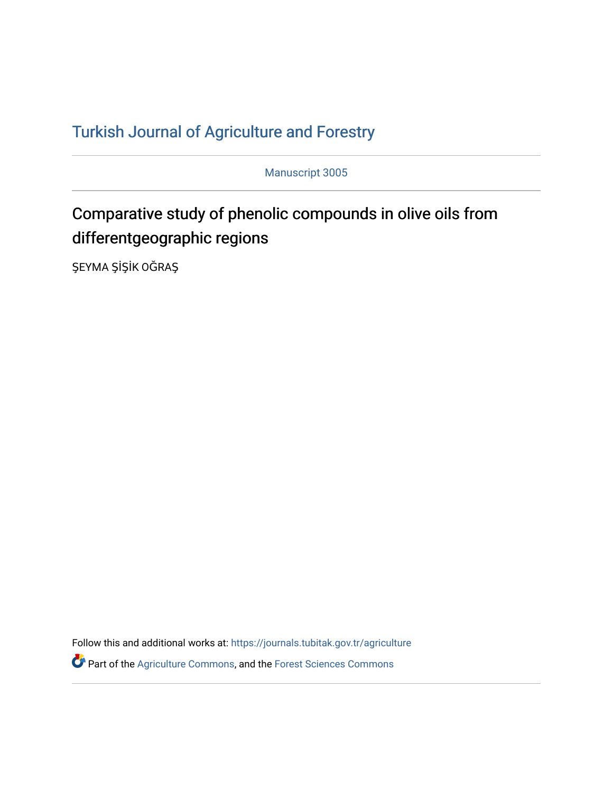## T[urkish Journal of Agriculture and F](https://journals.tubitak.gov.tr/agriculture)orestry

Manuscript 3005

# Comparative study of phenolic compounds in olive oils from differentgeographic regions

ŞEYMA ŞİŞİK OĞRAŞ

Follow this and additional works at: [https://journals.tubitak.gov.tr/agriculture](https://journals.tubitak.gov.tr/agriculture?utm_source=journals.tubitak.gov.tr%2Fagriculture%2Fvol46%2Fiss3%2F5&utm_medium=PDF&utm_campaign=PDFCoverPages)

**P** Part of the [Agriculture Commons](https://network.bepress.com/hgg/discipline/1076?utm_source=journals.tubitak.gov.tr%2Fagriculture%2Fvol46%2Fiss3%2F5&utm_medium=PDF&utm_campaign=PDFCoverPages), and the Forest Sciences Commons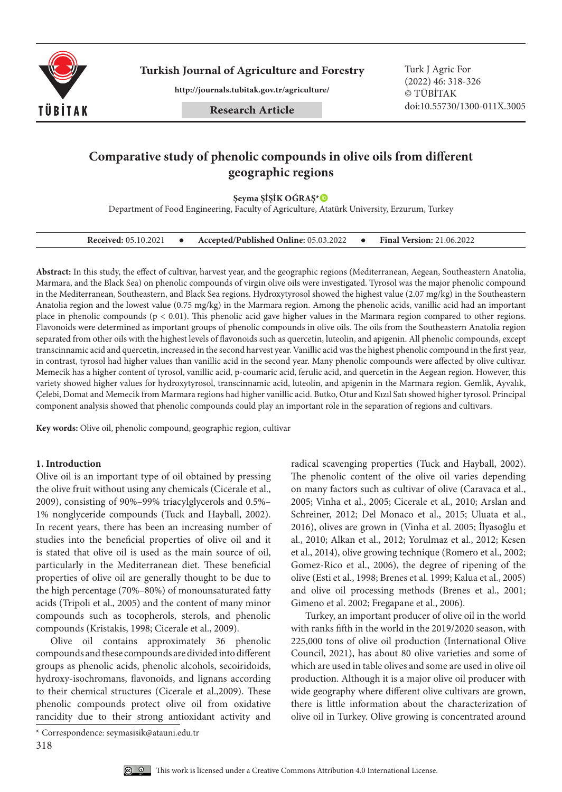

**Turkish Journal of Agriculture and Forestry Turk J Agric For** 

**http://journals.tubitak.gov.tr/agriculture/**

**Research Article**

(2022) 46: 318-326 © TÜBİTAK doi:10.55730/1300-011X.3005

### **Comparative study of phenolic compounds in olive oils from different geographic regions**

**Şeyma ŞİŞİK OĞRAŞ\***

Department of Food Engineering, Faculty of Agriculture, Atatürk University, Erzurum, Turkey

| <b>Received: 05.10.2021</b> |  | Accepted/Published Online: 05.03.2022 |  | <b>Final Version: 21.06.2022</b> |
|-----------------------------|--|---------------------------------------|--|----------------------------------|
|-----------------------------|--|---------------------------------------|--|----------------------------------|

**Abstract:** In this study, the effect of cultivar, harvest year, and the geographic regions (Mediterranean, Aegean, Southeastern Anatolia, Marmara, and the Black Sea) on phenolic compounds of virgin olive oils were investigated. Tyrosol was the major phenolic compound in the Mediterranean, Southeastern, and Black Sea regions. Hydroxytyrosol showed the highest value (2.07 mg/kg) in the Southeastern Anatolia region and the lowest value (0.75 mg/kg) in the Marmara region. Among the phenolic acids, vanillic acid had an important place in phenolic compounds (p < 0.01). This phenolic acid gave higher values in the Marmara region compared to other regions. Flavonoids were determined as important groups of phenolic compounds in olive oils. The oils from the Southeastern Anatolia region separated from other oils with the highest levels of flavonoids such as quercetin, luteolin, and apigenin. All phenolic compounds, except transcinnamic acid and quercetin, increased in the second harvest year. Vanillic acid was the highest phenolic compound in the first year, in contrast, tyrosol had higher values than vanillic acid in the second year. Many phenolic compounds were affected by olive cultivar. Memecik has a higher content of tyrosol, vanillic acid, p-coumaric acid, ferulic acid, and quercetin in the Aegean region. However, this variety showed higher values for hydroxytyrosol, transcinnamic acid, luteolin, and apigenin in the Marmara region. Gemlik, Ayvalık, Çelebi, Domat and Memecik from Marmara regions had higher vanillic acid. Butko, Otur and Kızıl Satı showed higher tyrosol. Principal component analysis showed that phenolic compounds could play an important role in the separation of regions and cultivars.

**Key words:** Olive oil, phenolic compound, geographic region, cultivar

#### **1. Introduction**

Olive oil is an important type of oil obtained by pressing the olive fruit without using any chemicals (Cicerale et al., 2009), consisting of 90%–99% triacylglycerols and 0.5%– 1% nonglyceride compounds (Tuck and Hayball, 2002). In recent years, there has been an increasing number of studies into the beneficial properties of olive oil and it is stated that olive oil is used as the main source of oil, particularly in the Mediterranean diet. These beneficial properties of olive oil are generally thought to be due to the high percentage (70%–80%) of monounsaturated fatty acids (Tripoli et al., 2005) and the content of many minor compounds such as tocopherols, sterols, and phenolic compounds (Kristakis, 1998; Cicerale et al., 2009).

Olive oil contains approximately 36 phenolic compounds and these compounds are divided into different groups as phenolic acids, phenolic alcohols, secoiridoids, hydroxy-isochromans, flavonoids, and lignans according to their chemical structures (Cicerale et al.,2009). These phenolic compounds protect olive oil from oxidative rancidity due to their strong antioxidant activity and

318



radical scavenging properties (Tuck and Hayball, 2002). The phenolic content of the olive oil varies depending on many factors such as cultivar of olive (Caravaca et al., 2005; Vinha et al., 2005; Cicerale et al., 2010; Arslan and Schreiner, 2012; Del Monaco et al., 2015; Uluata et al., 2016), olives are grown in (Vinha et al. 2005; İlyasoğlu et al., 2010; Alkan et al., 2012; Yorulmaz et al., 2012; Kesen et al., 2014), olive growing technique (Romero et al., 2002; Gomez-Rico et al., 2006), the degree of ripening of the olive (Esti et al., 1998; Brenes et al. 1999; Kalua et al., 2005) and olive oil processing methods (Brenes et al., 2001; Gimeno et al. 2002; Fregapane et al., 2006).

Turkey, an important producer of olive oil in the world with ranks fifth in the world in the 2019/2020 season, with 225,000 tons of olive oil production (International Olive Council, 2021), has about 80 olive varieties and some of which are used in table olives and some are used in olive oil production. Although it is a major olive oil producer with wide geography where different olive cultivars are grown, there is little information about the characterization of olive oil in Turkey. Olive growing is concentrated around

<sup>\*</sup> Correspondence: seymasisik@atauni.edu.tr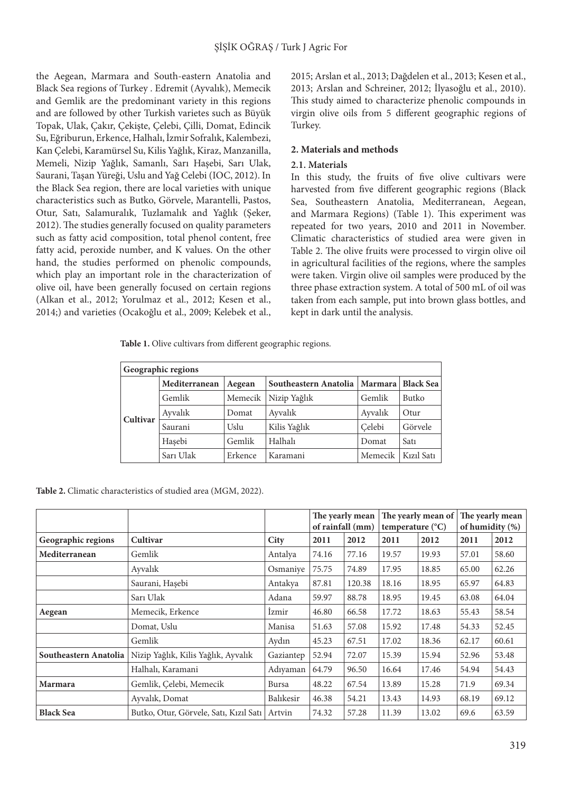the Aegean, Marmara and South-eastern Anatolia and Black Sea regions of Turkey . Edremit (Ayvalık), Memecik and Gemlik are the predominant variety in this regions and are followed by other Turkish varietes such as Büyük Topak, Ulak, Çakır, Çekişte, Çelebi, Çilli, Domat, Edincik Su, Eğriburun, Erkence, Halhalı, İzmir Sofralık, Kalembezi, Kan Çelebi, Karamürsel Su, Kilis Yağlık, Kiraz, Manzanilla, Memeli, Nizip Yağlık, Samanlı, Sarı Haşebi, Sarı Ulak, Saurani, Taşan Yüreği, Uslu and Yağ Celebi (IOC, 2012). In the Black Sea region, there are local varieties with unique characteristics such as Butko, Görvele, Marantelli, Pastos, Otur, Satı, Salamuralık, Tuzlamalık and Yağlık (Şeker, 2012). The studies generally focused on quality parameters such as fatty acid composition, total phenol content, free fatty acid, peroxide number, and K values. On the other hand, the studies performed on phenolic compounds, which play an important role in the characterization of olive oil, have been generally focused on certain regions (Alkan et al., 2012; Yorulmaz et al., 2012; Kesen et al., 2014;) and varieties (Ocakoğlu et al., 2009; Kelebek et al.,

2015; Arslan et al., 2013; Dağdelen et al., 2013; Kesen et al., 2013; Arslan and Schreiner, 2012; İlyasoğlu et al., 2010). This study aimed to characterize phenolic compounds in virgin olive oils from 5 different geographic regions of Turkey.

#### **2. Materials and methods**

#### **2.1. Materials**

In this study, the fruits of five olive cultivars were harvested from five different geographic regions (Black Sea, Southeastern Anatolia, Mediterranean, Aegean, and Marmara Regions) (Table 1). This experiment was repeated for two years, 2010 and 2011 in November. Climatic characteristics of studied area were given in Table 2. The olive fruits were processed to virgin olive oil in agricultural facilities of the regions, where the samples were taken. Virgin olive oil samples were produced by the three phase extraction system. A total of 500 mL of oil was taken from each sample, put into brown glass bottles, and kept in dark until the analysis.

**Table 1.** Olive cultivars from different geographic regions.

|          | Geographic regions |         |                       |         |                  |
|----------|--------------------|---------|-----------------------|---------|------------------|
|          | Mediterranean      | Aegean  | Southeastern Anatolia | Marmara | <b>Black Sea</b> |
|          | Gemlik             | Memecik | Nizip Yağlık          | Gemlik  | Butko            |
| Cultivar | Ayvalık            | Domat   | Ayvalık               | Ayvalık | Otur             |
|          | Saurani            | Uslu    | Kilis Yağlık          | Celebi  | Görvele          |
|          | Hasebi             | Gemlik  | Halhalı               | Domat   | Sat <sub>1</sub> |
|          | Sarı Ulak          | Erkence | Karamani              | Memecik | Kızıl Satı       |

**Table 2.** Climatic characteristics of studied area (MGM, 2022).

|                       |                                        |             |                  | The yearly mean |                           | The yearly mean of |                 | The yearly mean |
|-----------------------|----------------------------------------|-------------|------------------|-----------------|---------------------------|--------------------|-----------------|-----------------|
|                       |                                        |             | of rainfall (mm) |                 | temperature $(^{\circ}C)$ |                    | of humidity (%) |                 |
| Geographic regions    | Cultivar                               | <b>City</b> | 2011             | 2012            | 2011                      | 2012               | 2011            | 2012            |
| Mediterranean         | Gemlik                                 | Antalya     | 74.16            | 77.16           | 19.57                     | 19.93              | 57.01           | 58.60           |
|                       | Ayvalık                                | Osmaniye    | 75.75            | 74.89           | 17.95                     | 18.85              | 65.00           | 62.26           |
|                       | Saurani, Hașebi                        | Antakya     | 87.81            | 120.38          | 18.16                     | 18.95              | 65.97           | 64.83           |
|                       | Sarı Ulak                              | Adana       | 59.97            | 88.78           | 18.95                     | 19.45              | 63.08           | 64.04           |
| Aegean                | Memecik, Erkence                       | Izmir       | 46.80            | 66.58           | 17.72                     | 18.63              | 55.43           | 58.54           |
|                       | Domat, Uslu                            | Manisa      | 51.63            | 57.08           | 15.92                     | 17.48              | 54.33           | 52.45           |
|                       | Gemlik                                 | Aydın       | 45.23            | 67.51           | 17.02                     | 18.36              | 62.17           | 60.61           |
| Southeastern Anatolia | Nizip Yağlık, Kilis Yağlık, Ayvalık    | Gaziantep   | 52.94            | 72.07           | 15.39                     | 15.94              | 52.96           | 53.48           |
|                       | Halhalı, Karamani                      | Adıyaman    | 64.79            | 96.50           | 16.64                     | 17.46              | 54.94           | 54.43           |
| <b>Marmara</b>        | Gemlik, Celebi, Memecik                | Bursa       | 48.22            | 67.54           | 13.89                     | 15.28              | 71.9            | 69.34           |
|                       | Ayvalık, Domat                         | Balıkesir   | 46.38            | 54.21           | 13.43                     | 14.93              | 68.19           | 69.12           |
| <b>Black Sea</b>      | Butko, Otur, Görvele, Satı, Kızıl Satı | Artvin      | 74.32            | 57.28           | 11.39                     | 13.02              | 69.6            | 63.59           |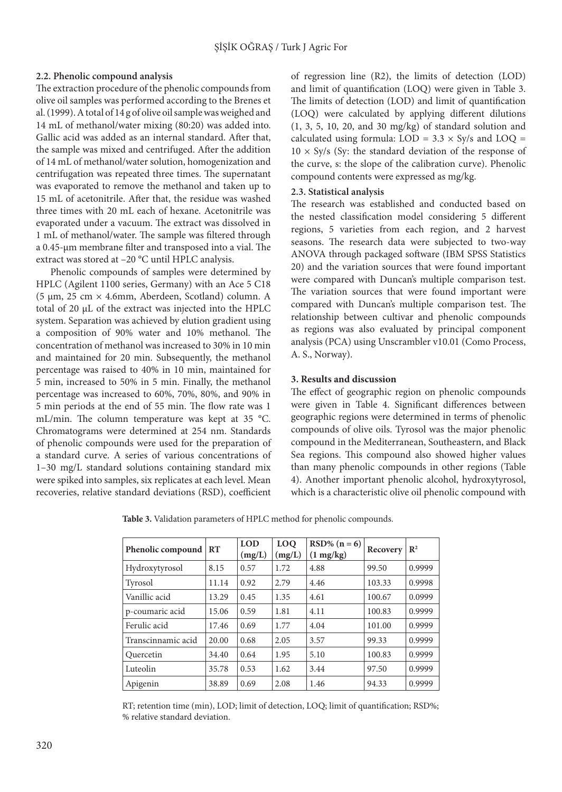#### **2.2. Phenolic compound analysis**

The extraction procedure of the phenolic compounds from olive oil samples was performed according to the Brenes et al. (1999). A total of 14 g of olive oil sample was weighed and 14 mL of methanol/water mixing (80:20) was added into. Gallic acid was added as an internal standard. After that, the sample was mixed and centrifuged. After the addition of 14 mL of methanol/water solution, homogenization and centrifugation was repeated three times. The supernatant was evaporated to remove the methanol and taken up to 15 mL of acetonitrile. After that, the residue was washed three times with 20 mL each of hexane. Acetonitrile was evaporated under a vacuum. The extract was dissolved in 1 mL of methanol/water. The sample was filtered through a 0.45-µm membrane filter and transposed into a vial. The extract was stored at –20 °C until HPLC analysis.

Phenolic compounds of samples were determined by HPLC (Agilent 1100 series, Germany) with an Ace 5 C18 (5 µm, 25 cm × 4.6mm, Aberdeen, Scotland) column. A total of 20 µL of the extract was injected into the HPLC system. Separation was achieved by elution gradient using a composition of 90% water and 10% methanol. The concentration of methanol was increased to 30% in 10 min and maintained for 20 min. Subsequently, the methanol percentage was raised to 40% in 10 min, maintained for 5 min, increased to 50% in 5 min. Finally, the methanol percentage was increased to 60%, 70%, 80%, and 90% in 5 min periods at the end of 55 min. The flow rate was 1 mL/min. The column temperature was kept at 35 °C. Chromatograms were determined at 254 nm. Standards of phenolic compounds were used for the preparation of a standard curve. A series of various concentrations of 1–30 mg/L standard solutions containing standard mix were spiked into samples, six replicates at each level. Mean recoveries, relative standard deviations (RSD), coefficient

of regression line (R2), the limits of detection (LOD) and limit of quantification (LOQ) were given in Table 3. The limits of detection (LOD) and limit of quantification (LOQ) were calculated by applying different dilutions (1, 3, 5, 10, 20, and 30 mg/kg) of standard solution and calculated using formula:  $LOD = 3.3 \times Sy/s$  and  $LOQ =$  $10 \times Sy/s$  (Sy: the standard deviation of the response of the curve, s: the slope of the calibration curve). Phenolic compound contents were expressed as mg/kg.

#### **2.3. Statistical analysis**

The research was established and conducted based on the nested classification model considering 5 different regions, 5 varieties from each region, and 2 harvest seasons. The research data were subjected to two-way ANOVA through packaged software (IBM SPSS Statistics 20) and the variation sources that were found important were compared with Duncan's multiple comparison test. The variation sources that were found important were compared with Duncan's multiple comparison test. The relationship between cultivar and phenolic compounds as regions was also evaluated by principal component analysis (PCA) using Unscrambler v10.01 (Como Process, A. S., Norway).

#### **3. Results and discussion**

The effect of geographic region on phenolic compounds were given in Table 4. Significant differences between geographic regions were determined in terms of phenolic compounds of olive oils. Tyrosol was the major phenolic compound in the Mediterranean, Southeastern, and Black Sea regions. This compound also showed higher values than many phenolic compounds in other regions (Table 4). Another important phenolic alcohol, hydroxytyrosol, which is a characteristic olive oil phenolic compound with

**Table 3.** Validation parameters of HPLC method for phenolic compounds.

| Phenolic compound  | RT    | <b>LOD</b><br>(mg/L) | <b>LOO</b><br>(mg/L) | $RSD\% (n = 6)$<br>$(1 \text{ mg/kg})$ | Recovery | $\mathbb{R}^2$ |
|--------------------|-------|----------------------|----------------------|----------------------------------------|----------|----------------|
| Hydroxytyrosol     | 8.15  | 0.57                 | 1.72                 | 4.88                                   | 99.50    | 0.9999         |
| Tyrosol            | 11.14 | 0.92                 | 2.79                 | 4.46                                   | 103.33   | 0.9998         |
| Vanillic acid      | 13.29 | 0.45                 | 1.35                 | 4.61                                   | 100.67   | 0.0999         |
| p-coumaric acid    | 15.06 | 0.59                 | 1.81                 | 4.11                                   | 100.83   | 0.9999         |
| Ferulic acid       | 17.46 | 0.69                 | 1.77                 | 4.04                                   | 101.00   | 0.9999         |
| Transcinnamic acid | 20.00 | 0.68                 | 2.05                 | 3.57                                   | 99.33    | 0.9999         |
| Quercetin          | 34.40 | 0.64                 | 1.95                 | 5.10                                   | 100.83   | 0.9999         |
| Luteolin           | 35.78 | 0.53                 | 1.62                 | 3.44                                   | 97.50    | 0.9999         |
| Apigenin           | 38.89 | 0.69                 | 2.08                 | 1.46                                   | 94.33    | 0.9999         |

RT; retention time (min), LOD; limit of detection, LOQ; limit of quantification; RSD%; % relative standard deviation.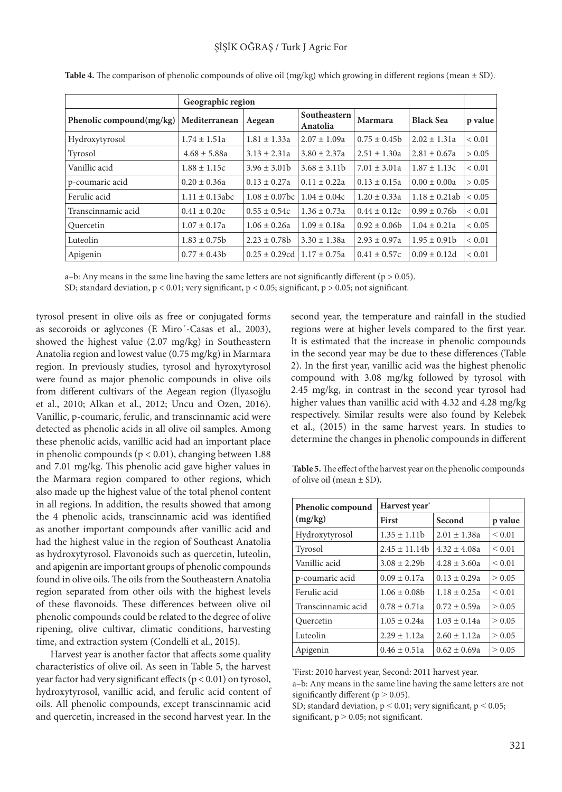|                             | Geographic region   |                                        |                          |                  |                    |            |
|-----------------------------|---------------------|----------------------------------------|--------------------------|------------------|--------------------|------------|
| Phenolic compound $(mg/kg)$ | Mediterranean       | Aegean                                 | Southeastern<br>Anatolia | Marmara          | <b>Black Sea</b>   | p value    |
| Hydroxytyrosol              | $1.74 \pm 1.51a$    | $1.81 \pm 1.33a$                       | $2.07 \pm 1.09a$         | $0.75 \pm 0.45$  | $2.02 \pm 1.31a$   | ${}< 0.01$ |
| Tyrosol                     | $4.68 \pm 5.88a$    | $3.13 \pm 2.31a$                       | $3.80 \pm 2.37a$         | $2.51 \pm 1.30a$ | $2.81 \pm 0.67a$   | > 0.05     |
| Vanillic acid               | $1.88 \pm 1.15c$    | $3.96 \pm 3.01$                        | $3.68 \pm 3.11b$         | $7.01 \pm 3.01a$ | $1.87 \pm 1.13c$   | ${}< 0.01$ |
| p-coumaric acid             | $0.20 \pm 0.36a$    | $0.13 \pm 0.27a$                       | $0.11 \pm 0.22a$         | $0.13 \pm 0.15a$ | $0.00 \pm 0.00a$   | > 0.05     |
| Ferulic acid                | $1.11 \pm 0.13$ abc | $1.08 \pm 0.07$ bc                     | $1.04 \pm 0.04c$         | $1.20 \pm 0.33a$ | $1.18 \pm 0.21$ ab | ${}< 0.05$ |
| Transcinnamic acid          | $0.41 \pm 0.20c$    | $0.55 \pm 0.54c$                       | $1.36 \pm 0.73a$         | $0.44 \pm 0.12c$ | $0.99 \pm 0.76$    | ${}< 0.01$ |
| Quercetin                   | $1.07 \pm 0.17a$    | $1.06 \pm 0.26a$                       | $1.09 \pm 0.18a$         | $0.92 \pm 0.06$  | $1.04 \pm 0.21a$   | ${}< 0.05$ |
| Luteolin                    | $1.83 \pm 0.75b$    | $2.23 \pm 0.78$                        | $3.30 \pm 1.38a$         | $2.93 \pm 0.97a$ | $1.95 \pm 0.91$    | ${}< 0.01$ |
| Apigenin                    | $0.77 \pm 0.43b$    | $0.25 \pm 0.29$ cd   1.17 $\pm 0.75$ a |                          | $0.41 \pm 0.57c$ | $0.09 \pm 0.12d$   | ${}< 0.01$ |

**Table 4.** The comparison of phenolic compounds of olive oil (mg/kg) which growing in different regions (mean ± SD).

a–b: Any means in the same line having the same letters are not significantly different ( $p > 0.05$ ).

SD; standard deviation,  $p < 0.01$ ; very significant,  $p < 0.05$ ; significant,  $p > 0.05$ ; not significant.

tyrosol present in olive oils as free or conjugated forms as secoroids or aglycones (E Miro´-Casas et al., 2003), showed the highest value (2.07 mg/kg) in Southeastern Anatolia region and lowest value (0.75 mg/kg) in Marmara region. In previously studies, tyrosol and hyroxytyrosol were found as major phenolic compounds in olive oils from different cultivars of the Aegean region (İlyasoğlu et al., 2010; Alkan et al., 2012; Uncu and Ozen, 2016). Vanillic, p-coumaric, ferulic, and transcinnamic acid were detected as phenolic acids in all olive oil samples. Among these phenolic acids, vanillic acid had an important place in phenolic compounds ( $p < 0.01$ ), changing between 1.88 and 7.01 mg/kg. This phenolic acid gave higher values in the Marmara region compared to other regions, which also made up the highest value of the total phenol content in all regions. In addition, the results showed that among the 4 phenolic acids, transcinnamic acid was identified as another important compounds after vanillic acid and had the highest value in the region of Southeast Anatolia as hydroxytyrosol. Flavonoids such as quercetin, luteolin, and apigenin are important groups of phenolic compounds found in olive oils. The oils from the Southeastern Anatolia region separated from other oils with the highest levels of these flavonoids. These differences between olive oil phenolic compounds could be related to the degree of olive ripening, olive cultivar, climatic conditions, harvesting time, and extraction system (Condelli et al., 2015).

Harvest year is another factor that affects some quality characteristics of olive oil. As seen in Table 5, the harvest year factor had very significant effects (p < 0.01) on tyrosol, hydroxytyrosol, vanillic acid, and ferulic acid content of oils. All phenolic compounds, except transcinnamic acid and quercetin, increased in the second harvest year. In the second year, the temperature and rainfall in the studied regions were at higher levels compared to the first year. It is estimated that the increase in phenolic compounds in the second year may be due to these differences (Table 2). In the first year, vanillic acid was the highest phenolic compound with 3.08 mg/kg followed by tyrosol with 2.45 mg/kg, in contrast in the second year tyrosol had higher values than vanillic acid with 4.32 and 4.28 mg/kg respectively. Similar results were also found by Kelebek et al., (2015) in the same harvest years. In studies to determine the changes in phenolic compounds in different

**Table 5.** The effect of the harvest year on the phenolic compounds of olive oil (mean ± SD)**.**

| Phenolic compound  | Harvest year <sup>*</sup> |                  |             |
|--------------------|---------------------------|------------------|-------------|
| (mg/kg)            | <b>First</b>              | Second           | p value     |
| Hydroxytyrosol     | $1.35 \pm 1.11$           | $2.01 \pm 1.38a$ | ${}_{0.01}$ |
| Tyrosol            | $2.45 \pm 11.14b$         | $4.32 \pm 4.08a$ | ${}_{0.01}$ |
| Vanillic acid      | $3.08 \pm 2.29$           | $4.28 \pm 3.60a$ | ${}_{0.01}$ |
| p-coumaric acid    | $0.09 \pm 0.17a$          | $0.13 \pm 0.29a$ | > 0.05      |
| Ferulic acid       | $1.06 \pm 0.08$           | $1.18 \pm 0.25a$ | ${}_{0.01}$ |
| Transcinnamic acid | $0.78 \pm 0.71a$          | $0.72 \pm 0.59a$ | > 0.05      |
| Quercetin          | $1.05 \pm 0.24a$          | $1.03 \pm 0.14a$ | > 0.05      |
| Luteolin           | $2.29 \pm 1.12a$          | $2.60 \pm 1.12a$ | > 0.05      |
| Apigenin           | $0.46 \pm 0.51a$          | $0.62 \pm 0.69a$ | > 0.05      |

\* First: 2010 harvest year, Second: 2011 harvest year.

a–b: Any means in the same line having the same letters are not significantly different ( $p > 0.05$ ).

SD; standard deviation,  $p < 0.01$ ; very significant,  $p < 0.05$ ; significant,  $p > 0.05$ ; not significant.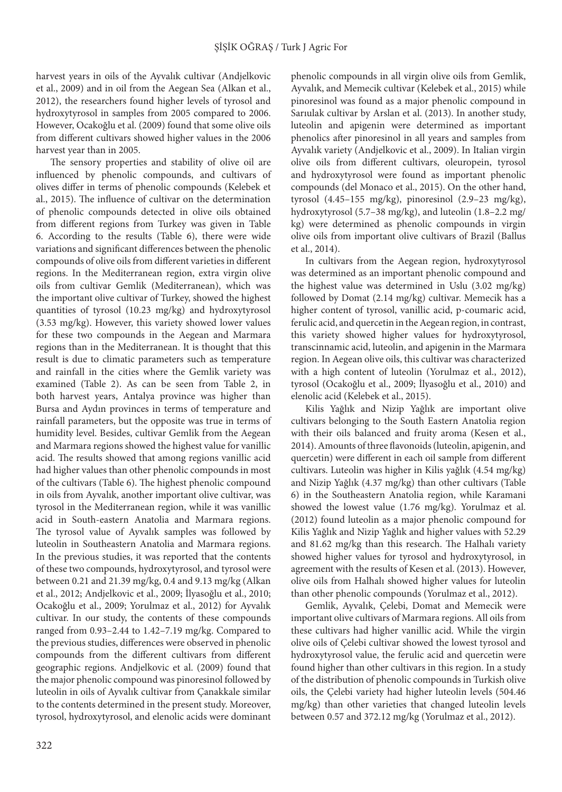harvest years in oils of the Ayvalık cultivar (Andjelkovic et al., 2009) and in oil from the Aegean Sea (Alkan et al., 2012), the researchers found higher levels of tyrosol and hydroxytyrosol in samples from 2005 compared to 2006. However, Ocakoğlu et al. (2009) found that some olive oils from different cultivars showed higher values in the 2006 harvest year than in 2005.

The sensory properties and stability of olive oil are influenced by phenolic compounds, and cultivars of olives differ in terms of phenolic compounds (Kelebek et al., 2015). The influence of cultivar on the determination of phenolic compounds detected in olive oils obtained from different regions from Turkey was given in Table 6. According to the results (Table 6), there were wide variations and significant differences between the phenolic compounds of olive oils from different varieties in different regions. In the Mediterranean region, extra virgin olive oils from cultivar Gemlik (Mediterranean), which was the important olive cultivar of Turkey, showed the highest quantities of tyrosol (10.23 mg/kg) and hydroxytyrosol (3.53 mg/kg). However, this variety showed lower values for these two compounds in the Aegean and Marmara regions than in the Mediterranean. It is thought that this result is due to climatic parameters such as temperature and rainfall in the cities where the Gemlik variety was examined (Table 2). As can be seen from Table 2, in both harvest years, Antalya province was higher than Bursa and Aydın provinces in terms of temperature and rainfall parameters, but the opposite was true in terms of humidity level. Besides, cultivar Gemlik from the Aegean and Marmara regions showed the highest value for vanillic acid. The results showed that among regions vanillic acid had higher values than other phenolic compounds in most of the cultivars (Table 6). The highest phenolic compound in oils from Ayvalık, another important olive cultivar, was tyrosol in the Mediterranean region, while it was vanillic acid in South-eastern Anatolia and Marmara regions. The tyrosol value of Ayvalık samples was followed by luteolin in Southeastern Anatolia and Marmara regions. In the previous studies, it was reported that the contents of these two compounds, hydroxytyrosol, and tyrosol were between 0.21 and 21.39 mg/kg, 0.4 and 9.13 mg/kg (Alkan et al., 2012; Andjelkovic et al., 2009; İlyasoğlu et al., 2010; Ocakoğlu et al., 2009; Yorulmaz et al., 2012) for Ayvalık cultivar. In our study, the contents of these compounds ranged from 0.93–2.44 to 1.42–7.19 mg/kg. Compared to the previous studies, differences were observed in phenolic compounds from the different cultivars from different geographic regions. Andjelkovic et al. (2009) found that the major phenolic compound was pinoresinol followed by luteolin in oils of Ayvalık cultivar from Çanakkale similar to the contents determined in the present study. Moreover, tyrosol, hydroxytyrosol, and elenolic acids were dominant

phenolic compounds in all virgin olive oils from Gemlik, Ayvalık, and Memecik cultivar (Kelebek et al., 2015) while pinoresinol was found as a major phenolic compound in Sarıulak cultivar by Arslan et al. (2013). In another study, luteolin and apigenin were determined as important phenolics after pinoresinol in all years and samples from Ayvalık variety (Andjelkovic et al., 2009). In Italian virgin olive oils from different cultivars, oleuropein, tyrosol and hydroxytyrosol were found as important phenolic compounds (del Monaco et al., 2015). On the other hand, tyrosol (4.45–155 mg/kg), pinoresinol (2.9–23 mg/kg), hydroxytyrosol (5.7–38 mg/kg), and luteolin (1.8–2.2 mg/ kg) were determined as phenolic compounds in virgin olive oils from important olive cultivars of Brazil (Ballus et al., 2014).

In cultivars from the Aegean region, hydroxytyrosol was determined as an important phenolic compound and the highest value was determined in Uslu (3.02 mg/kg) followed by Domat (2.14 mg/kg) cultivar. Memecik has a higher content of tyrosol, vanillic acid, p-coumaric acid, ferulic acid, and quercetin in the Aegean region, in contrast, this variety showed higher values for hydroxytyrosol, transcinnamic acid, luteolin, and apigenin in the Marmara region. In Aegean olive oils, this cultivar was characterized with a high content of luteolin (Yorulmaz et al., 2012), tyrosol (Ocakoğlu et al., 2009; İlyasoğlu et al., 2010) and elenolic acid (Kelebek et al., 2015).

Kilis Yağlık and Nizip Yağlık are important olive cultivars belonging to the South Eastern Anatolia region with their oils balanced and fruity aroma (Kesen et al., 2014). Amounts of three flavonoids (luteolin, apigenin, and quercetin) were different in each oil sample from different cultivars. Luteolin was higher in Kilis yağlık (4.54 mg/kg) and Nizip Yağlık (4.37 mg/kg) than other cultivars (Table 6) in the Southeastern Anatolia region, while Karamani showed the lowest value (1.76 mg/kg). Yorulmaz et al. (2012) found luteolin as a major phenolic compound for Kilis Yağlık and Nizip Yağlık and higher values with 52.29 and 81.62 mg/kg than this research. The Halhalı variety showed higher values for tyrosol and hydroxytyrosol, in agreement with the results of Kesen et al. (2013). However, olive oils from Halhalı showed higher values for luteolin than other phenolic compounds (Yorulmaz et al., 2012).

Gemlik, Ayvalık, Çelebi, Domat and Memecik were important olive cultivars of Marmara regions. All oils from these cultivars had higher vanillic acid. While the virgin olive oils of Çelebi cultivar showed the lowest tyrosol and hydroxytyrosol value, the ferulic acid and quercetin were found higher than other cultivars in this region. In a study of the distribution of phenolic compounds in Turkish olive oils, the Çelebi variety had higher luteolin levels (504.46 mg/kg) than other varieties that changed luteolin levels between 0.57 and 372.12 mg/kg (Yorulmaz et al., 2012).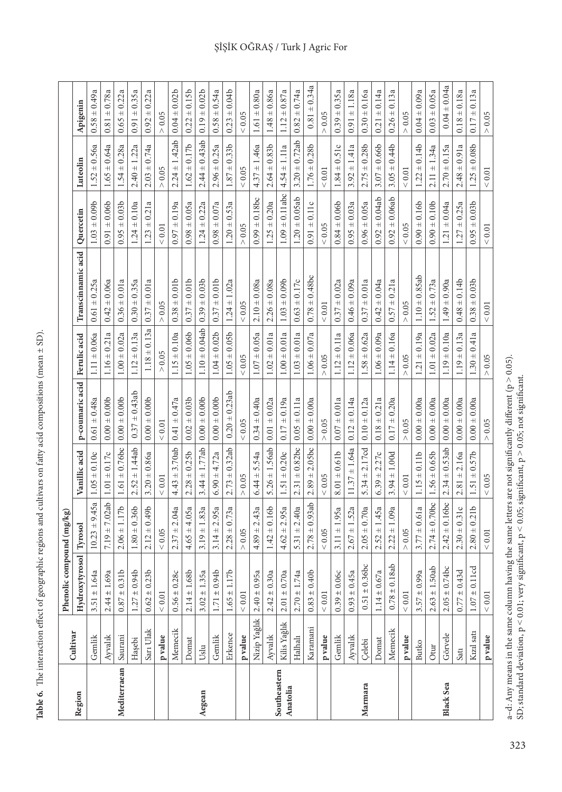| $\frac{1}{2}$<br>١                                            |
|---------------------------------------------------------------|
|                                                               |
| I<br>ł<br>į                                                   |
|                                                               |
| ֖֖֖֖֧ׅ֖֧ׅ֧ׅ֧ׅ֧ׅ֧֖֧֚֚֚֚֚֚֚֚֚֚֚֚֚֚֚֚֚֚֚֚֚֚֚֚֚֚֚֚֚֚֬֕֓֕֝֝֝֬֝֬֝֬֝ |
| an an Islam and                                               |
|                                                               |
| i                                                             |
|                                                               |
| i<br>l                                                        |
| ֖֖֖֖֧ׅ֖֧֖֧֧֧֖֧֚֚֚֚֚֚֚֚֚֚֚֚֚֚֚֚֚֚֚֚֚֚֚֚֚֚֚֚֚֚֚֚֚֚֬֝֝֝֓֞֝֬֝֬֝֬  |
|                                                               |
|                                                               |
| ֖֖֖֖֧֖֧֪֪ׅ֖֚֚֚֚֚֚֚֚֚֚֚֚֚֚֚֚֚֚֚֚֚֚֚֚֬֝֓֝֓֞֓֞֬                  |
| $\frac{1}{2}$                                                 |
|                                                               |
| l                                                             |
|                                                               |
|                                                               |
|                                                               |
|                                                               |
|                                                               |
| i                                                             |
|                                                               |
| こくりくりく                                                        |
| ì                                                             |
| ١                                                             |
| l                                                             |
|                                                               |
| l                                                             |
|                                                               |
| i                                                             |
|                                                               |
|                                                               |
|                                                               |
| ١                                                             |
|                                                               |
|                                                               |
|                                                               |
| l                                                             |
|                                                               |
|                                                               |
|                                                               |
| I                                                             |
| $\ddot{\phantom{0}}$                                          |
| ı                                                             |
| E<br>F<br>₹                                                   |
| י                                                             |

|                          | Cultivar                                                       | Phenolic compound (mg/kg) |                    |                         |                              |                     |                                |                     |                    |                     |
|--------------------------|----------------------------------------------------------------|---------------------------|--------------------|-------------------------|------------------------------|---------------------|--------------------------------|---------------------|--------------------|---------------------|
| Region                   |                                                                | Hydroxytyrosol Tyrosol    |                    | Vanillic acid           | p-coumaric acid Ferulic acid |                     | Transcinnamic acid   Quercetin |                     | Luteolin           | Apigenin            |
|                          | Gemlik                                                         | $3.51 \pm 1.64a$          | $+9.45a$<br>10.23  | $1.05 \pm 0.10c$        | $0.61 \pm 0.48a$             | $1.11 \pm 0.06a$    | $0.61 \pm 0.25a$               | $1.03 \pm 0.09b$    | $1.52 \pm 0.56a$   | $0.58 \pm 0.49a$    |
|                          | Ayvalık                                                        | $2.44 \pm 1.69a$          | $7.19 \pm 7.02ab$  | $\pm 0.17c$<br>$1.01\,$ | $0.00 \pm 0.00$              | $1.16 \pm 0.21a$    | $\pm 0.06a$<br>0.42            | ± 0.06b<br>0.91     | $1.65 \pm 0.64a$   | $\pm 0.78a$<br>0.81 |
| Mediterraean             | Saurani                                                        | $0.87 \pm 0.31$ b         | $2.06 \pm 1.17b$   | $1.61 \pm 0.76$ bc      | $0.00 \pm 0.00$              | $1.00 \pm 0.02a$    | $0.36 \pm 0.01a$               | $0.95 \pm 0.03b$    | $1.54 \pm 0.28a$   | $\pm 0.22a$<br>0.65 |
|                          | Hașebi                                                         | $1.27 \pm 0.94$           | $1.80 \pm 0.36$    | $2.52 \pm 1.44ab$       | $0.37 \pm 0.43$ ab           | $1.12 \pm 0.13a$    | $0.30 \pm 0.35a$               | $1.24 \pm 0.10a$    | $2.40 \pm 1.22a$   | $0.91 \pm 0.35a$    |
|                          | Sarı Ulak                                                      | $0.62 \pm 0.23$ b         | $2.12 \pm 0.49$    | $3.20 \pm 0.86a$        | $0.00 \pm 0.00$              | $1.18 \pm 0.13a$    | $\pm 0.01a$<br>0.37            | $\pm 0.21a$<br>1.23 | $2.03 \pm 0.74a$   | $\pm 0.22a$<br>0.92 |
|                          | p value                                                        | ${}< 0.01$                | $< 0.05$           | $\leq 0.01$             | $< 0.01$                     | > 0.05              | 0.05<br>Λ                      | $< 0.01$            | > 0.05             | $> 0.05$            |
|                          | Memecik                                                        | $0.56 \pm 0.28c$          | $2.37 \pm 2.04a$   | $4.43 \pm 3.70$ ab      | $0.41 \pm 0.47a$             | $1.15 \pm 0.10a$    | $0.38 \pm 0.01$ b              | $0.97 \pm 0.19a$    | $2.24 \pm 1.42ab$  | $0.04 \pm 0.02b$    |
|                          | Domat                                                          | $2.14 \pm 1.68$           | $4.65 \pm 4.05a$   | $2.28 \pm 0.25$         | $0.02 \pm 0.03$              | $1.05 \pm 0.06b$    | $0.37 \pm 0.01b$               | $0.98 \pm 0.05a$    | $1.62 \pm 0.17b$   | $0.22 \pm 0.15b$    |
| Aegean                   | Uslu                                                           | $3.02 \pm 1.35a$          | $3.19 \pm 1.83a$   | $3.44 \pm 1.77$ ab      | $0.00 \pm 0.00$              | $1.10 \pm 0.04$ ab  | $\pm 0.03b$<br>0.39            | $\pm 0.22a$<br>1.24 | $2.44 \pm 0.43$ ab | $\pm 0.02b$<br>0.19 |
|                          | Gemlik                                                         | $1.71 \pm 0.94$           | $3.14 \pm 2.95a$   | $6.90 \pm 4.72a$        | $0.00 \pm 0.00$              | $1.04 \pm 0.02b$    | $0.37 \pm 0.01$ b              | $0.98 \pm 0.07a$    | $2.96 \pm 0.25a$   | $\pm 0.54a$<br>0.58 |
|                          | Erkence                                                        | $1.65 \pm 1.17b$          | $2.28 \pm 0.73a$   | $2.73 \pm 0.32$ ab      | $0.20 \pm 0.23$ ab           | $1.05 \pm 0.05$     | $1.24 \pm 1.02a$               | $.20 \pm 0.53a$     | $1.87 \pm 0.33b$   | $0.23 \pm 0.04b$    |
|                          | p value                                                        | $< 0.01$                  | > 0.05             | 0.05<br>Λ               | ${}< 0.05$                   | ${}< 0.05$          | $< 0.05$                       | 0.05<br>Λ           | ${}< 0.05$         | ${}< 0.05$          |
|                          | Nizip Yağlık                                                   | $2.40 \pm 0.95a$          | $4.89 \pm 2.43a$   | $6.44 \pm 5.54a$        | $0.34 \pm 0.40a$             | $1.07 \pm 0.05a$    | $2.10 \pm 0.08a$               | $0.99 \pm 0.18$ bc  | $4.37 \pm 1.46a$   | $1.61 \pm 0.80a$    |
|                          | $\mathbf{A}\mathbf{y}\mathbf{v}\mathbf{a}\mathbf{I}\mathbf{k}$ | $2.42 \pm 0.30a$          | $1.42 \pm 0.16b$   | $5.26 \pm 1.56ab$       | $0.01 \pm 0.02a$             | $1.02 \pm 0.01a$    | $2.26 \pm 0.08a$               | $1.25 \pm 0.20a$    | $2.64 \pm 0.83b$   | $1.48 \pm 0.86a$    |
| Southeastern<br>Anatolia | Kilis Yağlık                                                   | $2.01 \pm 0.70a$          | $4.62 \pm 2.95a$   | $1.51 \pm 0.20c$        | $0.17 \pm 0.19a$             | $1.00 \pm 0.01a$    | ± 0.09b<br>1.03                | $1.09 \pm 0.11$ abc | $4.54 \pm 1.11a$   | $\pm 0.87a$<br>1.12 |
|                          | Halhalı                                                        | $2.70 \pm 1.74a$          | $5.31 \pm 2.40a$   | $2.31 \pm 0.82$ bc      | $0.05 \pm 0.11a$             | $1.03 \pm 0.01a$    | $0.63 \pm 0.17c$               | $1.20 \pm 0.05$ ab  | $3.20 \pm 0.72$ ab | $\pm 0.74a$<br>0.82 |
|                          | Karamani                                                       | $0.83 \pm 0.40$           | $2.78 \pm 0.93$ ab | $2.89 \pm 2.05$ bc      | $0.00 \pm 0.00a$             | $1.06 \pm 0.07a$    | $0.78 \pm 0.48$ bc             | $0.91 \pm 0.11c$    | $1.76 \pm 0.28$ b  | $0.81 \pm 0.34a$    |
|                          | p value                                                        | $< 0.01$                  | $< 0.05$           | ${}< 0.05$              | $> 0.05$                     | 0.05                | $< 0.01$                       | $< 0.05$            | $< 0.01$           | 0.05                |
|                          | Gemlik                                                         | $0.39\pm0.06c$            | ± 1.95a<br>3.11    | ± 0.61b<br>8.01         | $0.07 \pm 0.01a$             | $1.12 \pm 0.11a$    | $0.37 \pm 0.02a$               | $0.84 \pm 0.06$     | $1.84 \pm 0.51c$   | $0.39 \pm 0.35a$    |
|                          | Ayvalık                                                        | $0.93 \pm 0.45a$          | $2.67 \pm 1.52a$   | $11.37 \pm 1.64a$       | $0.12 \pm 0.14a$             | $1.12 \pm 0.06a$    | $0.46 \pm 0.09a$               | $0.95 \pm 0.03a$    | $3.92 \pm 1.41a$   | ±1.18a<br>0.91      |
| Marmara                  | Çelebi                                                         | $0.51 \pm 0.36$ bc        | $2.05 \pm 0.70a$   | $5.34 \pm 2.17cd$       | $0.10 \pm 0.12a$             | $1.58 \pm 0.62a$    | $0.37 \pm 0.01a$               | $0.96 \pm 0.05a$    | $2.75 \pm 0.28b$   | $0.30 \pm 0.16a$    |
|                          | Domat                                                          | $1.14 \pm 0.67a$          | $2.52 \pm 1.45a$   | $6.39 \pm 2.27c$        | $0.18 \pm 0.21a$             | $1.06 \pm 0.09a$    | $\pm 0.04a$<br>0.42            | $0.92 \pm 0.04$ ab  | $3.07 \pm 0.66$    | $0.21 \pm 0.14a$    |
|                          | Memecik                                                        | $0.78 \pm 0.18$ ab        | $2.22 \pm 1.09a$   | $3.94 \pm 1.00d$        | $0.17 \pm 0.20a$             | $1.14 \pm 0.16a$    | $0.57 \pm 0.21a$               | $0.92 \pm 0.06$ ab  | $3.05 \pm 0.44$    | $0.26 \pm 0.13a$    |
|                          | p value                                                        | $< 0.01$                  | $> 0.05$           | ${}< 0.01$              | $> 0.05$                     | > 0.05              | $> 0.05$                       | $< 0.05$            | $< 0.01$           | > 0.05              |
|                          | <b>Butko</b>                                                   | $3.57 \pm 0.99a$          | $3.77 \pm 0.61a$   | $1.15 \pm 0.11b$        | $0.00 \pm 0.00a$             | $.21 \pm 0.19a$     | $1.10 \pm 0.85$ ab             | $0.90 \pm 0.16$     | $1.22 \pm 0.14b$   | $0.04 \pm 0.09a$    |
|                          | Otur                                                           | $2.63 \pm 1.50$ ab        | $2.74 \pm 0.70$ bc | $1.56 \pm 0.65$         | $0.00 \pm 0.00a$             | $\pm 0.02a$<br>1.01 | $\pm 0.73a$<br>1.52            | $0.90 \pm 0.10$     | $2.11 \pm 1.34a$   | $0.03 \pm 0.05a$    |
| <b>Black Sea</b>         | Görvele                                                        | $2.05 \pm 0.74$ bc        | $2.42 \pm 0.16$ bc | $2.34 \pm 0.53$ ab      | $0.00 \pm 0.00a$             | $1.19 \pm 0.10a$    | $1.49 \pm 0.90a$               | $1.21 \pm 0.04a$    | $2.70 \pm 0.15a$   | $0.04 \pm 0.04a$    |
|                          | Satı                                                           | $0.77 \pm 0.43$ d         | $2.30 \pm 0.31c$   | $2.81 \pm 2.16a$        | $0.00 \pm 0.00a$             | $1.19 \pm 0.13a$    | $0.48 \pm 0.14$                | $1.27 \pm 0.25a$    | $2.48 \pm 0.91a$   | $0.18 \pm 0.18a$    |
|                          | Kızıl satı                                                     | $1.07 \pm 0.11$ cd        | $2.80 \pm 0.21$ b  | $1.51 \pm 0.57b$        | $0.00 \pm 0.00a$             | $1.30 \pm 0.41a$    | $+0.03b$<br>0.38:              | $0.95 \pm 0.03$     | $1.25 \pm 0.08b$   | 0.13a<br>$0.17 \pm$ |
|                          | p value                                                        | $< 0.01$                  | ${}< 0.01$         | < 0.05                  | $> 0.05$                     | > 0.05              | $< 0.01$                       | ${}< 0.01$          | $< 0.01$           | > 0.05              |

ŞİŞİK OĞRAŞ / Turk J Agric For

a–d: Any means in the same column having the same letters are not significantly different (p  $>$  0.05). SD; standard deviation,  $p < 0.01$ ; very significant,  $p < 0.05$ ; significant,  $p > 0.05$ ; not significant.

a–d: Any means in the same column having the same letters are not significantly different ( $p > 0.05$ ).<br>SD; standard deviation,  $p < 0.01$ ; very significant,  $p < 0.05$ ; significant,  $p > 0.05$ ; not significant.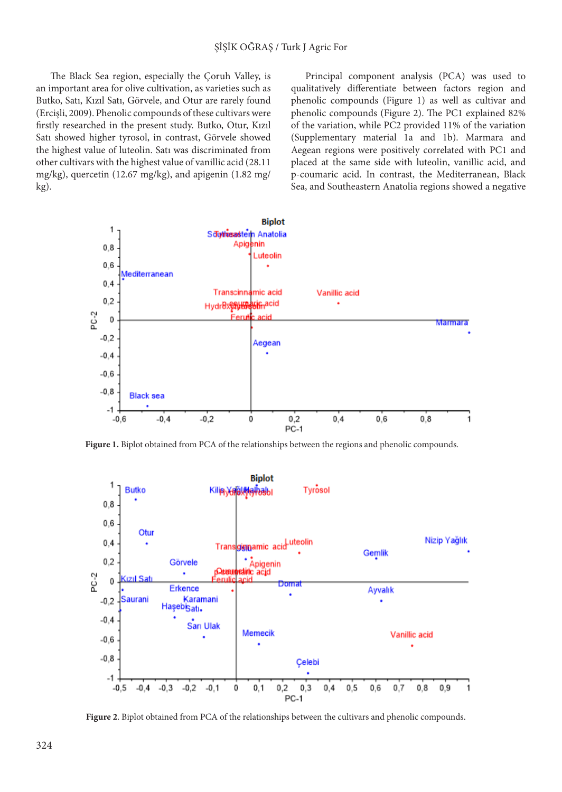The Black Sea region, especially the Coruh Valley, is an important area for olive cultivation, as varieties such as Butko, Satı, Kızıl Satı, Görvele, and Otur are rarely found (Ercişli, 2009). Phenolic compounds of these cultivars were firstly researched in the present study. Butko, Otur, Kızıl Satı showed higher tyrosol, in contrast, Görvele showed the highest value of luteolin. Satı was discriminated from other cultivars with the highest value of vanillic acid (28.11 mg/kg), quercetin (12.67 mg/kg), and apigenin (1.82 mg/ kg).

Principal component analysis (PCA) was used to qualitatively differentiate between factors region and phenolic compounds (Figure 1) as well as cultivar and phenolic compounds (Figure 2). The PC1 explained 82% of the variation, while PC2 provided 11% of the variation (Supplementary material 1a and 1b). Marmara and Aegean regions were positively correlated with PC1 and placed at the same side with luteolin, vanillic acid, and p-coumaric acid. In contrast, the Mediterranean, Black Sea, and Southeastern Anatolia regions showed a negative



**Figure 1.** Biplot obtained from PCA of the relationships between the regions and phenolic compounds.



**Figure 2**. Biplot obtained from PCA of the relationships between the cultivars and phenolic compounds.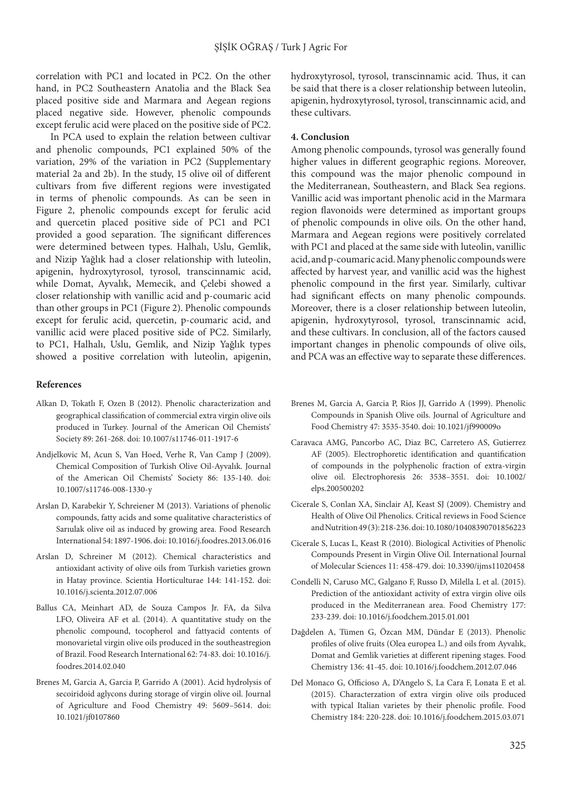correlation with PC1 and located in PC2. On the other hand, in PC2 Southeastern Anatolia and the Black Sea placed positive side and Marmara and Aegean regions placed negative side. However, phenolic compounds except ferulic acid were placed on the positive side of PC2.

In PCA used to explain the relation between cultivar and phenolic compounds, PC1 explained 50% of the variation, 29% of the variation in PC2 (Supplementary material 2a and 2b). In the study, 15 olive oil of different cultivars from five different regions were investigated in terms of phenolic compounds. As can be seen in Figure 2, phenolic compounds except for ferulic acid and quercetin placed positive side of PC1 and PC1 provided a good separation. The significant differences were determined between types. Halhalı, Uslu, Gemlik, and Nizip Yağlık had a closer relationship with luteolin, apigenin, hydroxytyrosol, tyrosol, transcinnamic acid, while Domat, Ayvalık, Memecik, and Çelebi showed a closer relationship with vanillic acid and p-coumaric acid than other groups in PC1 (Figure 2). Phenolic compounds except for ferulic acid, quercetin, p-coumaric acid, and vanillic acid were placed positive side of PC2. Similarly, to PC1, Halhalı, Uslu, Gemlik, and Nizip Yağlık types showed a positive correlation with luteolin, apigenin,

#### **References**

- Alkan D, Tokatlı F, Ozen B (2012). Phenolic characterization and geographical classification of commercial extra virgin olive oils produced in Turkey. Journal of the American Oil Chemists' Society 89: 261-268. doi: 10.1007/s11746-011-1917-6
- Andjelkovic M, Acun S, Van Hoed, Verhe R, Van Camp J (2009). Chemical Composition of Turkish Olive Oil-Ayvalık. Journal of the American Oil Chemists' Society 86: 135-140. doi: 10.1007/s11746-008-1330-y
- Arslan D, Karabekir Y, Schreiener M (2013). Variations of phenolic compounds, fatty acids and some qualitative characteristics of Sarıulak olive oil as induced by growing area. Food Research International 54: 1897-1906. doi: 10.1016/j.foodres.2013.06.016
- Arslan D, Schreiner M (2012). Chemical characteristics and antioxidant activity of olive oils from Turkish varieties grown in Hatay province. Scientia Horticulturae 144: 141-152. doi: 10.1016/j.scienta.2012.07.006
- Ballus CA, Meinhart AD, de Souza Campos Jr. FA, da Silva LFO, Oliveira AF et al. (2014). A quantitative study on the phenolic compound, tocopherol and fattyacid contents of monovarietal virgin olive oils produced in the southeastregion of Brazil. Food Research International 62: 74-83. doi: 10.1016/j. foodres.2014.02.040
- Brenes M, Garcia A, Garcia P, Garrido A (2001). Acid hydrolysis of secoiridoid aglycons during storage of virgin olive oil. Journal of Agriculture and Food Chemistry 49: 5609–5614. doi: 10.1021/jf0107860

hydroxytyrosol, tyrosol, transcinnamic acid. Thus, it can be said that there is a closer relationship between luteolin, apigenin, hydroxytyrosol, tyrosol, transcinnamic acid, and these cultivars.

#### **4. Conclusion**

Among phenolic compounds, tyrosol was generally found higher values in different geographic regions. Moreover, this compound was the major phenolic compound in the Mediterranean, Southeastern, and Black Sea regions. Vanillic acid was important phenolic acid in the Marmara region flavonoids were determined as important groups of phenolic compounds in olive oils. On the other hand, Marmara and Aegean regions were positively correlated with PC1 and placed at the same side with luteolin, vanillic acid, and p-coumaric acid. Many phenolic compounds were affected by harvest year, and vanillic acid was the highest phenolic compound in the first year. Similarly, cultivar had significant effects on many phenolic compounds. Moreover, there is a closer relationship between luteolin, apigenin, hydroxytyrosol, tyrosol, transcinnamic acid, and these cultivars. In conclusion, all of the factors caused important changes in phenolic compounds of olive oils, and PCA was an effective way to separate these differences.

- Brenes M, Garcia A, Garcia P, Rios JJ, Garrido A (1999). Phenolic Compounds in Spanish Olive oils. Journal of Agriculture and Food Chemistry 47: 3535-3540. doi: 10.1021/jf990009o
- Caravaca AMG, Pancorbo AC, Diaz BC, Carretero AS, Gutierrez AF (2005). Electrophoretic identification and quantification of compounds in the polyphenolic fraction of extra-virgin olive oil. Electrophoresis 26: 3538–3551. doi: 10.1002/ elps.200500202
- Cicerale S, Conlan XA, Sinclair AJ, Keast SJ (2009). Chemistry and Health of Olive Oil Phenolics. Critical reviews in Food Science and Nutrition 49 (3): 218-236. doi: 10.1080/10408390701856223
- Cicerale S, Lucas L, Keast R (2010). Biological Activities of Phenolic Compounds Present in Virgin Olive Oil. International Journal of Molecular Sciences 11: 458-479. doi: 10.3390/ijms11020458
- Condelli N, Caruso MC, Galgano F, Russo D, Milella L et al. (2015). Prediction of the antioxidant activity of extra virgin olive oils produced in the Mediterranean area. Food Chemistry 177: 233-239. doi: 10.1016/j.foodchem.2015.01.001
- Dağdelen A, Tümen G, Özcan MM, Dündar E (2013). Phenolic profiles of olive fruits (Olea europea L.) and oils from Ayvalık, Domat and Gemlik varieties at different ripening stages. Food Chemistry 136: 41-45. doi: 10.1016/j.foodchem.2012.07.046
- Del Monaco G, Officioso A, D'Angelo S, La Cara F, Lonata E et al. (2015). Characterzation of extra virgin olive oils produced with typical Italian varietes by their phenolic profile. Food Chemistry 184: 220-228. doi: 10.1016/j.foodchem.2015.03.071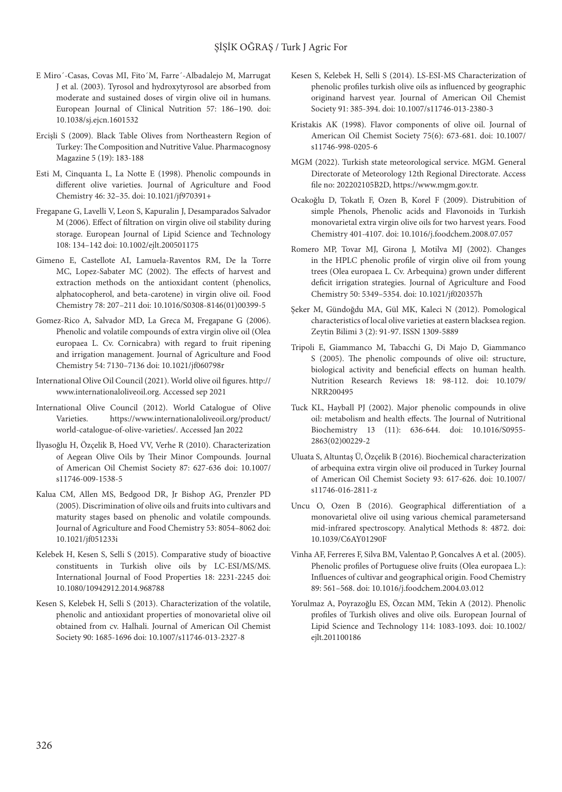- E Miro´-Casas, Covas MI, Fito´M, Farre´-Albadalejo M, Marrugat J et al. (2003). Tyrosol and hydroxytyrosol are absorbed from moderate and sustained doses of virgin olive oil in humans. European Journal of Clinical Nutrition 57: 186–190. doi: 10.1038/sj.ejcn.1601532
- Ercişli S (2009). Black Table Olives from Northeastern Region of Turkey: The Composition and Nutritive Value. Pharmacognosy Magazine 5 (19): 183-188
- Esti M, Cinquanta L, La Notte E (1998). Phenolic compounds in different olive varieties. Journal of Agriculture and Food Chemistry 46: 32–35. doi: 10.1021/jf970391+
- Fregapane G, Lavelli V, Leon S, Kapuralin J, Desamparados Salvador M (2006). Effect of filtration on virgin olive oil stability during storage. European Journal of Lipid Science and Technology 108: 134–142 doi: 10.1002/ejlt.200501175
- Gimeno E, Castellote AI, Lamuela-Raventos RM, De la Torre MC, Lopez-Sabater MC (2002). The effects of harvest and extraction methods on the antioxidant content (phenolics, alphatocopherol, and beta-carotene) in virgin olive oil. Food Chemistry 78: 207–211 doi: 10.1016/S0308-8146(01)00399-5
- Gomez-Rico A, Salvador MD, La Greca M, Fregapane G (2006). Phenolic and volatile compounds of extra virgin olive oil (Olea europaea L. Cv. Cornicabra) with regard to fruit ripening and irrigation management. Journal of Agriculture and Food Chemistry 54: 7130–7136 doi: 10.1021/jf060798r
- International Olive Oil Council (2021). World olive oil figures. [http://](http://www.internationaloliveoil.org/) [www.internationaloliveoil.org](http://www.internationaloliveoil.org/). Accessed sep 2021
- International Olive Council (2012). World Catalogue of Olive Varieties. [https://www.internationaloliveoil.org/product/](https://www.internationaloliveoil.org/product/world-catalogue-of-olive-varieties/) [world-catalogue-of-olive-varieties/](https://www.internationaloliveoil.org/product/world-catalogue-of-olive-varieties/). Accessed Jan 2022
- İlyasoğlu H, Özçelik B, Hoed VV, Verhe R (2010). Characterization of Aegean Olive Oils by Their Minor Compounds. Journal of American Oil Chemist Society 87: 627-636 doi: 10.1007/ s11746-009-1538-5
- Kalua CM, Allen MS, Bedgood DR, Jr Bishop AG, Prenzler PD (2005). Discrimination of olive oils and fruits into cultivars and maturity stages based on phenolic and volatile compounds. Journal of Agriculture and Food Chemistry 53: 8054–8062 doi: 10.1021/jf051233i
- Kelebek H, Kesen S, Selli S (2015). Comparative study of bioactive constituents in Turkish olive oils by LC-ESI/MS/MS. International Journal of Food Properties 18: 2231-2245 doi: 10.1080/10942912.2014.968788
- Kesen S, Kelebek H, Selli S (2013). Characterization of the volatile, phenolic and antioxidant properties of monovarietal olive oil obtained from cv. Halhali. Journal of American Oil Chemist Society 90: 1685-1696 doi: 10.1007/s11746-013-2327-8
- Kesen S, Kelebek H, Selli S (2014). LS-ESI-MS Characterization of phenolic profiles turkish olive oils as influenced by geographic originand harvest year. Journal of American Oil Chemist Society 91: 385-394. doi: 10.1007/s11746-013-2380-3
- Kristakis AK (1998). Flavor components of olive oil. Journal of American Oil Chemist Society 75(6): 673-681. doi: 10.1007/ s11746-998-0205-6
- MGM (2022). Turkish state meteorological service. MGM. General Directorate of Meteorology 12th Regional Directorate. Access file no: 202202105B2D, https://www.mgm.gov.tr.
- Ocakoğlu D, Tokatlı F, Ozen B, Korel F (2009). Distrubition of simple Phenols, Phenolic acids and Flavonoids in Turkish monovarietal extra virgin olive oils for two harvest years. Food Chemistry 401-4107. doi: 10.1016/j.foodchem.2008.07.057
- Romero MP, Tovar MJ, Girona J, Motilva MJ (2002). Changes in the HPLC phenolic profile of virgin olive oil from young trees (Olea europaea L. Cv. Arbequina) grown under different deficit irrigation strategies. Journal of Agriculture and Food Chemistry 50: 5349–5354. doi: 10.1021/jf020357h
- Şeker M, Gündoğdu MA, Gül MK, Kaleci N (2012). Pomological characteristics of local olive varieties at eastern blacksea region. Zeytin Bilimi 3 (2): 91-97. ISSN 1309-5889
- Tripoli E, Giammanco M, Tabacchi G, Di Majo D, Giammanco S (2005). The phenolic compounds of olive oil: structure, biological activity and beneficial effects on human health. Nutrition Research Reviews 18: 98-112. doi: 10.1079/ NRR200495
- Tuck KL, Hayball PJ (2002). Major phenolic compounds in olive oil: metabolism and health effects. The Journal of Nutritional Biochemistry 13 (11): 636-644. doi: 10.1016/S0955- 2863(02)00229-2
- Uluata S, Altuntaş Ü, Özçelik B (2016). Biochemical characterization of arbequina extra virgin olive oil produced in Turkey Journal of American Oil Chemist Society 93: 617-626. doi: 10.1007/ s11746-016-2811-z
- Uncu O, Ozen B (2016). Geographical differentiation of a monovarietal olive oil using various chemical parametersand mid-infrared spectroscopy. Analytical Methods 8: 4872. doi: 10.1039/C6AY01290F
- Vinha AF, Ferreres F, Silva BM, Valentao P, Goncalves A et al. (2005). Phenolic profiles of Portuguese olive fruits (Olea europaea L.): Influences of cultivar and geographical origin. Food Chemistry 89: 561–568. doi: 10.1016/j.foodchem.2004.03.012
- Yorulmaz A, Poyrazoğlu ES, Özcan MM, Tekin A (2012). Phenolic profiles of Turkish olives and olive oils. European Journal of Lipid Science and Technology 114: 1083-1093. doi: 10.1002/ ejlt.201100186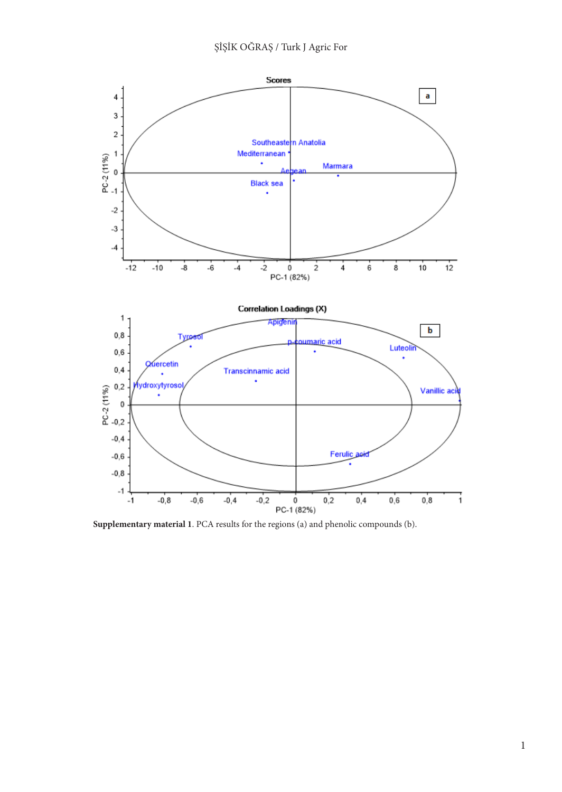

**Supplementary material 1**. PCA results for the regions (a) and phenolic compounds (b).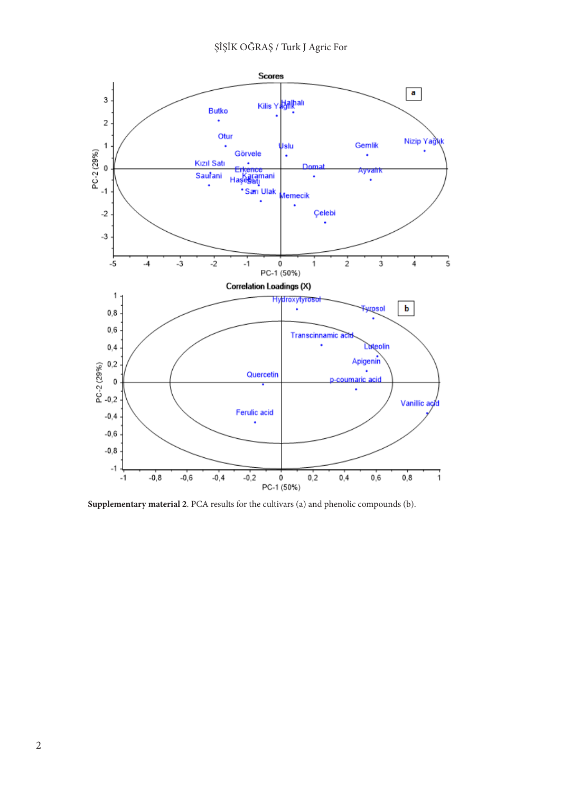

**Supplementary material 2**. PCA results for the cultivars (a) and phenolic compounds (b).